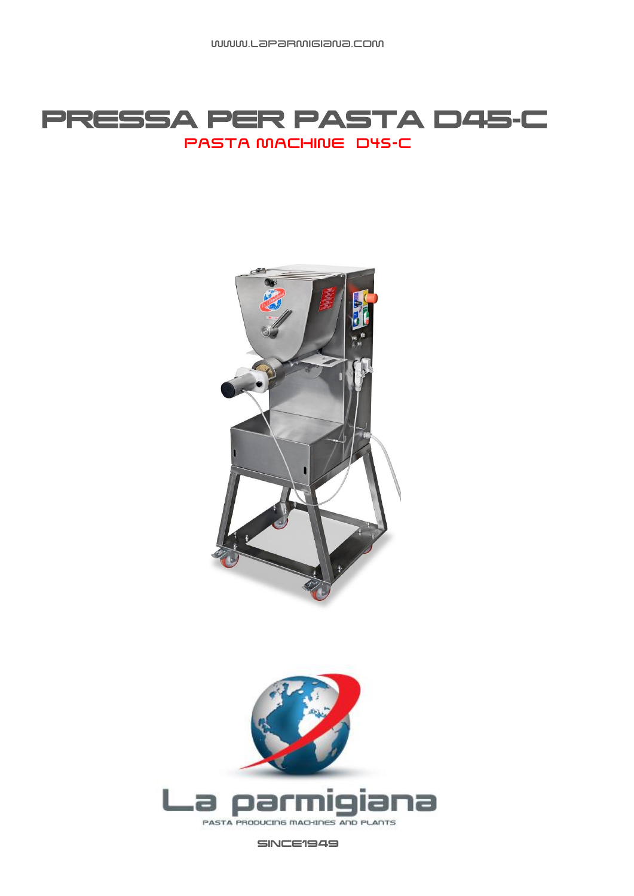## PRESSA PER PASTA D45-C PASTA MACHINE D45-C





SINCE1949